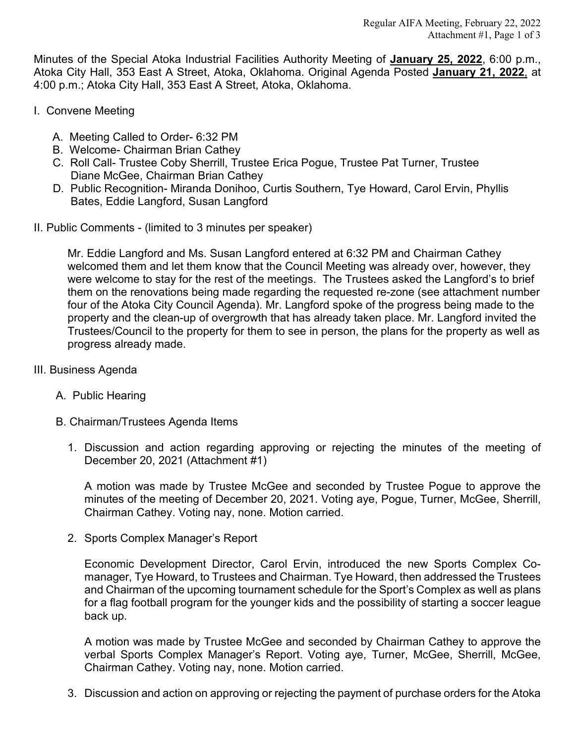Minutes of the Special Atoka Industrial Facilities Authority Meeting of **January 25, 2022**, 6:00 p.m., Atoka City Hall, 353 East A Street, Atoka, Oklahoma. Original Agenda Posted **January 21, 2022**, at 4:00 p.m.; Atoka City Hall, 353 East A Street, Atoka, Oklahoma.

- I. Convene Meeting
	- A. Meeting Called to Order- 6:32 PM
	- B. Welcome- Chairman Brian Cathey
	- C. Roll Call- Trustee Coby Sherrill, Trustee Erica Pogue, Trustee Pat Turner, Trustee Diane McGee, Chairman Brian Cathey
	- D. Public Recognition- Miranda Donihoo, Curtis Southern, Tye Howard, Carol Ervin, Phyllis Bates, Eddie Langford, Susan Langford
- II. Public Comments (limited to 3 minutes per speaker)

Mr. Eddie Langford and Ms. Susan Langford entered at 6:32 PM and Chairman Cathey welcomed them and let them know that the Council Meeting was already over, however, they were welcome to stay for the rest of the meetings. The Trustees asked the Langford's to brief them on the renovations being made regarding the requested re-zone (see attachment number four of the Atoka City Council Agenda). Mr. Langford spoke of the progress being made to the property and the clean-up of overgrowth that has already taken place. Mr. Langford invited the Trustees/Council to the property for them to see in person, the plans for the property as well as progress already made.

- III. Business Agenda
	- A. Public Hearing
	- B. Chairman/Trustees Agenda Items
		- 1. Discussion and action regarding approving or rejecting the minutes of the meeting of December 20, 2021 (Attachment #1)

A motion was made by Trustee McGee and seconded by Trustee Pogue to approve the minutes of the meeting of December 20, 2021. Voting aye, Pogue, Turner, McGee, Sherrill, Chairman Cathey. Voting nay, none. Motion carried.

2. Sports Complex Manager's Report

Economic Development Director, Carol Ervin, introduced the new Sports Complex Comanager, Tye Howard, to Trustees and Chairman. Tye Howard, then addressed the Trustees and Chairman of the upcoming tournament schedule for the Sport's Complex as well as plans for a flag football program for the younger kids and the possibility of starting a soccer league back up.

A motion was made by Trustee McGee and seconded by Chairman Cathey to approve the verbal Sports Complex Manager's Report. Voting aye, Turner, McGee, Sherrill, McGee, Chairman Cathey. Voting nay, none. Motion carried.

3. Discussion and action on approving or rejecting the payment of purchase orders for the Atoka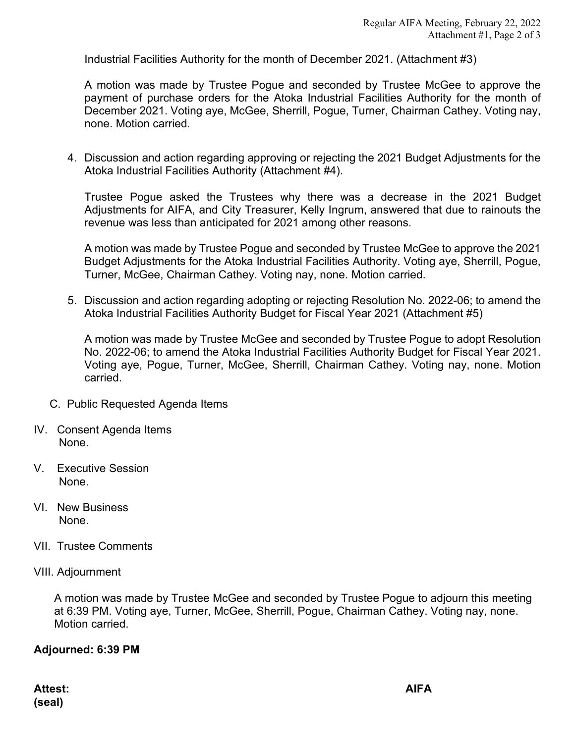Industrial Facilities Authority for the month of December 2021. (Attachment #3)

A motion was made by Trustee Pogue and seconded by Trustee McGee to approve the payment of purchase orders for the Atoka Industrial Facilities Authority for the month of December 2021. Voting aye, McGee, Sherrill, Pogue, Turner, Chairman Cathey. Voting nay, none. Motion carried.

4. Discussion and action regarding approving or rejecting the 2021 Budget Adjustments for the Atoka Industrial Facilities Authority (Attachment #4).

Trustee Pogue asked the Trustees why there was a decrease in the 2021 Budget Adjustments for AIFA, and City Treasurer, Kelly Ingrum, answered that due to rainouts the revenue was less than anticipated for 2021 among other reasons.

A motion was made by Trustee Pogue and seconded by Trustee McGee to approve the 2021 Budget Adjustments for the Atoka Industrial Facilities Authority. Voting aye, Sherrill, Pogue, Turner, McGee, Chairman Cathey. Voting nay, none. Motion carried.

5. Discussion and action regarding adopting or rejecting Resolution No. 2022-06; to amend the Atoka Industrial Facilities Authority Budget for Fiscal Year 2021 (Attachment #5)

A motion was made by Trustee McGee and seconded by Trustee Pogue to adopt Resolution No. 2022-06; to amend the Atoka Industrial Facilities Authority Budget for Fiscal Year 2021. Voting aye, Pogue, Turner, McGee, Sherrill, Chairman Cathey. Voting nay, none. Motion carried.

- C. Public Requested Agenda Items
- IV. Consent Agenda Items None.
- V. Executive Session None.
- VI. New Business None.
- VII. Trustee Comments
- VIII. Adjournment

A motion was made by Trustee McGee and seconded by Trustee Pogue to adjourn this meeting at 6:39 PM. Voting aye, Turner, McGee, Sherrill, Pogue, Chairman Cathey. Voting nay, none. Motion carried.

## **Adjourned: 6:39 PM**

**Attest: AIFA (seal)**